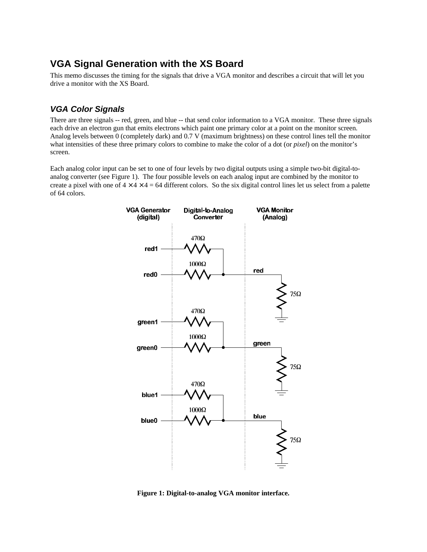# **VGA Signal Generation with the XS Board**

This memo discusses the timing for the signals that drive a VGA monitor and describes a circuit that will let you drive a monitor with the XS Board.

#### *VGA Color Signals*

There are three signals -- red, green, and blue -- that send color information to a VGA monitor. These three signals each drive an electron gun that emits electrons which paint one primary color at a point on the monitor screen. Analog levels between 0 (completely dark) and 0.7 V (maximum brightness) on these control lines tell the monitor what intensities of these three primary colors to combine to make the color of a dot (or *pixel*) on the monitor's screen.

Each analog color input can be set to one of four levels by two digital outputs using a simple two-bit digital-toanalog converter (see Figure 1). The four possible levels on each analog input are combined by the monitor to create a pixel with one of  $4 \times 4 \times 4 = 64$  different colors. So the six digital control lines let us select from a palette of 64 colors.



**Figure 1: Digital-to-analog VGA monitor interface.**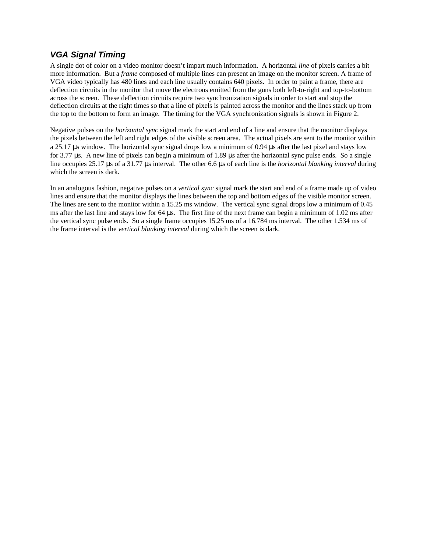## *VGA Signal Timing*

A single dot of color on a video monitor doesn't impart much information. A horizontal *line* of pixels carries a bit more information. But a *frame* composed of multiple lines can present an image on the monitor screen. A frame of VGA video typically has 480 lines and each line usually contains 640 pixels. In order to paint a frame, there are deflection circuits in the monitor that move the electrons emitted from the guns both left-to-right and top-to-bottom across the screen. These deflection circuits require two synchronization signals in order to start and stop the deflection circuits at the right times so that a line of pixels is painted across the monitor and the lines stack up from the top to the bottom to form an image. The timing for the VGA synchronization signals is shown in Figure 2.

Negative pulses on the *horizontal sync* signal mark the start and end of a line and ensure that the monitor displays the pixels between the left and right edges of the visible screen area. The actual pixels are sent to the monitor within a 25.17 μs window. The horizontal sync signal drops low a minimum of 0.94 μs after the last pixel and stays low for 3.77 μs. A new line of pixels can begin a minimum of 1.89 μs after the horizontal sync pulse ends. So a single line occupies 25.17 μs of a 31.77 μs interval. The other 6.6 μs of each line is the *horizontal blanking interval* during which the screen is dark.

In an analogous fashion, negative pulses on a *vertical sync* signal mark the start and end of a frame made up of video lines and ensure that the monitor displays the lines between the top and bottom edges of the visible monitor screen. The lines are sent to the monitor within a 15.25 ms window. The vertical sync signal drops low a minimum of 0.45 ms after the last line and stays low for 64 μs. The first line of the next frame can begin a minimum of 1.02 ms after the vertical sync pulse ends. So a single frame occupies 15.25 ms of a 16.784 ms interval. The other 1.534 ms of the frame interval is the *vertical blanking interval* during which the screen is dark.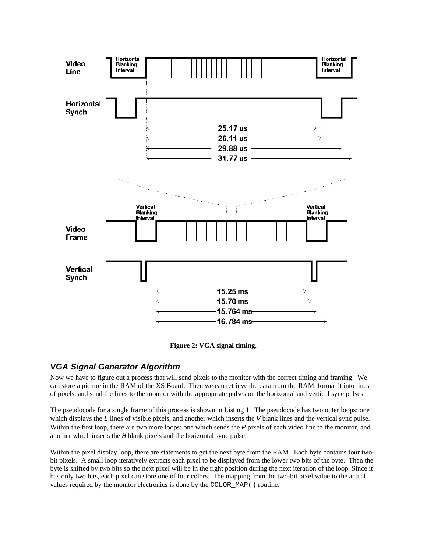

**Figure 2: VGA signal timing.**

### *VGA Signal Generator Algorithm*

Now we have to figure out a process that will send pixels to the monitor with the correct timing and framing. We can store a picture in the RAM of the XS Board. Then we can retrieve the data from the RAM, format it into lines of pixels, and send the lines to the monitor with the appropriate pulses on the horizontal and vertical sync pulses.

The pseudocode for a single frame of this process is shown in Listing 1. The pseudocode has two outer loops: one which displays the *L* lines of visible pixels, and another which inserts the *V* blank lines and the vertical sync pulse. Within the first loop, there are two more loops: one which sends the *P* pixels of each video line to the monitor, and another which inserts the *H* blank pixels and the horizontal sync pulse.

Within the pixel display loop, there are statements to get the next byte from the RAM. Each byte contains four twobit pixels. A small loop iteratively extracts each pixel to be displayed from the lower two bits of the byte. Then the byte is shifted by two bits so the next pixel will be in the right position during the next iteration of the loop. Since it has only two bits, each pixel can store one of four colors. The mapping from the two-bit pixel value to the actual values required by the monitor electronics is done by the COLOR\_MAP() routine.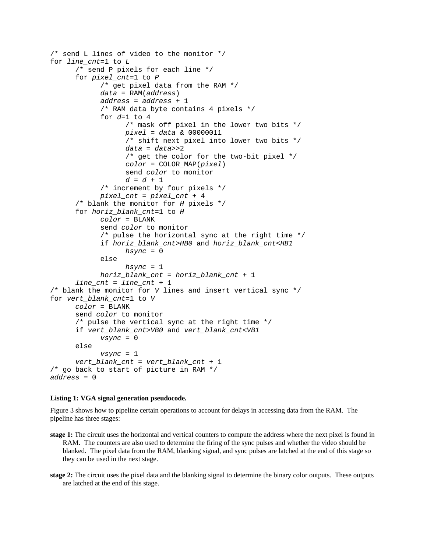```
/* send L lines of video to the monitor */
for line_cnt=1 to L
      /* send P pixels for each line */
      for pixel_cnt=1 to P
            /* get pixel data from the RAM */
            data = RAM(address)
            address = address + 1
            /* RAM data byte contains 4 pixels */
            for d=1 to 4
                  /* mask off pixel in the lower two bits */
                  pixel = data & 00000011
                  /* shift next pixel into lower two bits */
                  data = data>>2
                  /* get the color for the two-bit pixel */
                  color = COLOR_MAP(pixel)
                  send color to monitor
                  d = d + 1
            /* increment by four pixels */
            pixel_cnt = pixel_cnt + 4
      /* blank the monitor for H pixels */
      for horiz_blank_cnt=1 to H
            color = BLANK
            send color to monitor
            /* pulse the horizontal sync at the right time */
            if horiz_blank_cnt>HB0 and horiz_blank_cnt<HB1
                  hsync = 0
            else
                  hsync = 1
            horiz_blank_cnt = horiz_blank_cnt + 1
      line_cnt = line_cnt + 1
/* blank the monitor for V lines and insert vertical sync */
for vert_blank_cnt=1 to V
      color = BLANK
      send color to monitor
      /* pulse the vertical sync at the right time */
      if vert_blank_cnt>VB0 and vert_blank_cnt<VB1
            vsync = 0
      else
            vsync = 1
      vert_blank_cnt = vert_blank_cnt + 1
/* go back to start of picture in RAM */
address = 0
```
#### **Listing 1: VGA signal generation pseudocode.**

Figure 3 shows how to pipeline certain operations to account for delays in accessing data from the RAM. The pipeline has three stages:

- **stage 1:** The circuit uses the horizontal and vertical counters to compute the address where the next pixel is found in RAM. The counters are also used to determine the firing of the sync pulses and whether the video should be blanked. The pixel data from the RAM, blanking signal, and sync pulses are latched at the end of this stage so they can be used in the next stage.
- **stage 2:** The circuit uses the pixel data and the blanking signal to determine the binary color outputs. These outputs are latched at the end of this stage.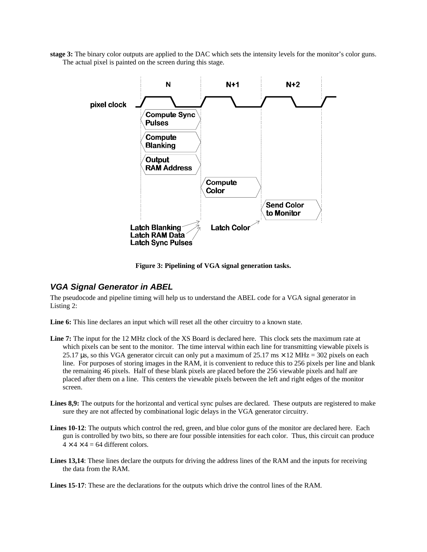**stage 3:** The binary color outputs are applied to the DAC which sets the intensity levels for the monitor's color guns. The actual pixel is painted on the screen during this stage.



**Figure 3: Pipelining of VGA signal generation tasks.**

#### *VGA Signal Generator in ABEL*

The pseudocode and pipeline timing will help us to understand the ABEL code for a VGA signal generator in Listing 2:

**Line 6:** This line declares an input which will reset all the other circuitry to a known state.

- **Line 7:** The input for the 12 MHz clock of the XS Board is declared here. This clock sets the maximum rate at which pixels can be sent to the monitor. The time interval within each line for transmitting viewable pixels is 25.17 μs, so this VGA generator circuit can only put a maximum of 25.17 ms  $\times$  12 MHz = 302 pixels on each line. For purposes of storing images in the RAM, it is convenient to reduce this to 256 pixels per line and blank the remaining 46 pixels. Half of these blank pixels are placed before the 256 viewable pixels and half are placed after them on a line. This centers the viewable pixels between the left and right edges of the monitor screen.
- Lines 8,9: The outputs for the horizontal and vertical sync pulses are declared. These outputs are registered to make sure they are not affected by combinational logic delays in the VGA generator circuitry.
- Lines 10-12: The outputs which control the red, green, and blue color guns of the monitor are declared here. Each gun is controlled by two bits, so there are four possible intensities for each color. Thus, this circuit can produce  $4 \times 4 \times 4 = 64$  different colors.
- **Lines 13,14**: These lines declare the outputs for driving the address lines of the RAM and the inputs for receiving the data from the RAM.

**Lines 15-17:** These are the declarations for the outputs which drive the control lines of the RAM.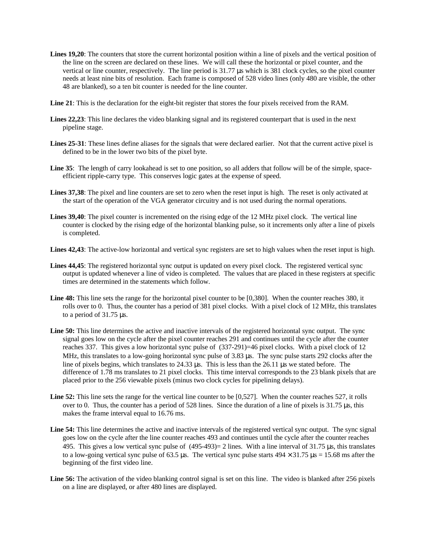- Lines 19,20: The counters that store the current horizontal position within a line of pixels and the vertical position of the line on the screen are declared on these lines. We will call these the horizontal or pixel counter, and the vertical or line counter, respectively. The line period is 31.77 μs which is 381 clock cycles, so the pixel counter needs at least nine bits of resolution. Each frame is composed of 528 video lines (only 480 are visible, the other 48 are blanked), so a ten bit counter is needed for the line counter.
- **Line 21**: This is the declaration for the eight-bit register that stores the four pixels received from the RAM.
- **Lines 22,23**: This line declares the video blanking signal and its registered counterpart that is used in the next pipeline stage.
- **Lines 25-31**: These lines define aliases for the signals that were declared earlier. Not that the current active pixel is defined to be in the lower two bits of the pixel byte.
- **Line 35**: The length of carry lookahead is set to one position, so all adders that follow will be of the simple, spaceefficient ripple-carry type. This conserves logic gates at the expense of speed.
- Lines 37,38: The pixel and line counters are set to zero when the reset input is high. The reset is only activated at the start of the operation of the VGA generator circuitry and is not used during the normal operations.
- Lines 39,40: The pixel counter is incremented on the rising edge of the 12 MHz pixel clock. The vertical line counter is clocked by the rising edge of the horizontal blanking pulse, so it increments only after a line of pixels is completed.
- **Lines 42,43**: The active-low horizontal and vertical sync registers are set to high values when the reset input is high.
- **Lines 44,45**: The registered horizontal sync output is updated on every pixel clock. The registered vertical sync output is updated whenever a line of video is completed. The values that are placed in these registers at specific times are determined in the statements which follow.
- Line 48: This line sets the range for the horizontal pixel counter to be [0,380]. When the counter reaches 380, it rolls over to 0. Thus, the counter has a period of 381 pixel clocks. With a pixel clock of 12 MHz, this translates to a period of 31.75 μs.
- **Line 50:** This line determines the active and inactive intervals of the registered horizontal sync output. The sync signal goes low on the cycle after the pixel counter reaches 291 and continues until the cycle after the counter reaches 337. This gives a low horizontal sync pulse of (337-291)=46 pixel clocks. With a pixel clock of 12 MHz, this translates to a low-going horizontal sync pulse of 3.83 μs. The sync pulse starts 292 clocks after the line of pixels begins, which translates to 24.33 μs. This is less than the 26.11 μs we stated before. The difference of 1.78 ms translates to 21 pixel clocks. This time interval corresponds to the 23 blank pixels that are placed prior to the 256 viewable pixels (minus two clock cycles for pipelining delays).
- **Line 52:** This line sets the range for the vertical line counter to be [0,527]. When the counter reaches 527, it rolls over to 0. Thus, the counter has a period of 528 lines. Since the duration of a line of pixels is 31.75 μs, this makes the frame interval equal to 16.76 ms.
- **Line 54:** This line determines the active and inactive intervals of the registered vertical sync output. The sync signal goes low on the cycle after the line counter reaches 493 and continues until the cycle after the counter reaches 495. This gives a low vertical sync pulse of (495-493)= 2 lines. With a line interval of 31.75 μs, this translates to a low-going vertical sync pulse of 63.5 μs. The vertical sync pulse starts  $494 \times 31.75 \text{ }\mu\text{s} = 15.68 \text{ ms}$  after the beginning of the first video line.
- **Line 56:** The activation of the video blanking control signal is set on this line. The video is blanked after 256 pixels on a line are displayed, or after 480 lines are displayed.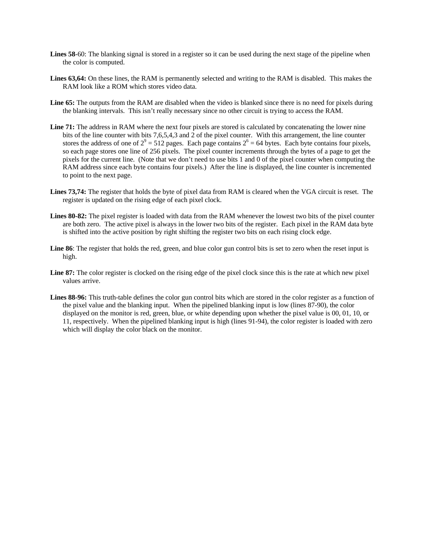- Lines 58-60: The blanking signal is stored in a register so it can be used during the next stage of the pipeline when the color is computed.
- **Lines 63,64:** On these lines, the RAM is permanently selected and writing to the RAM is disabled. This makes the RAM look like a ROM which stores video data.
- Line 65: The outputs from the RAM are disabled when the video is blanked since there is no need for pixels during the blanking intervals. This isn't really necessary since no other circuit is trying to access the RAM.
- Line 71: The address in RAM where the next four pixels are stored is calculated by concatenating the lower nine bits of the line counter with bits 7,6,5,4,3 and 2 of the pixel counter. With this arrangement, the line counter stores the address of one of  $2^9 = 512$  pages. Each page contains  $2^6 = 64$  bytes. Each byte contains four pixels, so each page stores one line of 256 pixels. The pixel counter increments through the bytes of a page to get the pixels for the current line. (Note that we don't need to use bits 1 and 0 of the pixel counter when computing the RAM address since each byte contains four pixels.) After the line is displayed, the line counter is incremented to point to the next page.
- **Lines 73,74:** The register that holds the byte of pixel data from RAM is cleared when the VGA circuit is reset. The register is updated on the rising edge of each pixel clock.
- Lines 80-82: The pixel register is loaded with data from the RAM whenever the lowest two bits of the pixel counter are both zero. The active pixel is always in the lower two bits of the register. Each pixel in the RAM data byte is shifted into the active position by right shifting the register two bits on each rising clock edge.
- **Line 86**: The register that holds the red, green, and blue color gun control bits is set to zero when the reset input is high.
- Line 87: The color register is clocked on the rising edge of the pixel clock since this is the rate at which new pixel values arrive.
- **Lines 88-96:** This truth-table defines the color gun control bits which are stored in the color register as a function of the pixel value and the blanking input. When the pipelined blanking input is low (lines 87-90), the color displayed on the monitor is red, green, blue, or white depending upon whether the pixel value is 00, 01, 10, or 11, respectively. When the pipelined blanking input is high (lines 91-94), the color register is loaded with zero which will display the color black on the monitor.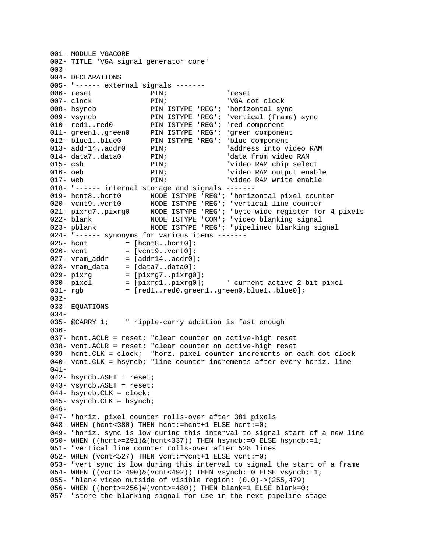```
001- MODULE VGACORE
002- TITLE 'VGA signal generator core'
003-
004- DECLARATIONS
005- "------ external signals -------
006- reset PIN; PIN; PIN; PESet
007- clock PIN; "VGA dot clock
008- hsyncb PIN ISTYPE 'REG'; "horizontal sync
009- vsyncb PIN ISTYPE 'REG'; "vertical (frame) sync
010- red1..red0 PIN ISTYPE 'REG'; "red component
011- green1..green0 PIN ISTYPE 'REG'; "green component
012- blue1..blue0 PIN ISTYPE 'REG'; "blue component
013- addr14..addr0 PIN; Taddress into video RAM
014- data7..data0 PIN; The "data from video RAM
015- csb PIN; PIN; The Published Property of the Post of the PIN; The Post of Tennes Property Post of Post of P
016- oeb PIN; PIN; PIN: "video RAM output enable
017- web PIN; PIN; The Property Public Property of Property Property Property Property Property Property Prope
018- "------ internal storage and signals -------
019- hcnt8..hcnt0 NODE ISTYPE 'REG'; "horizontal pixel counter
020- vcnt9..vcnt0 MODE ISTYPE 'REG'; "vertical line counter
021- pixrg7..pixrg0 NODE ISTYPE 'REG'; "byte-wide register for 4 pixels
022- blank MODE ISTYPE 'COM'; "video blanking signal
023- pblank MODE ISTYPE 'REG'; "pipelined blanking signal
024- "------ synonyms for various items -------
025- hcnt = [hcnt8..hcnt0];026 - vcnt = [vcnt9..vcnt0];
027- vram_addr = [addr14..addr0];
028- vram_data = [data7..data0];
029 - \text{pixrg} = [\text{pixrg7..pixrg0}];030- pixel = [pixrg1..pixrg0]; " current active 2-bit pixel
031- rgb = [red1..red0,green1..green0,blue1..blue0];
032-
033- EQUATIONS
034-
035- @CARRY 1; " ripple-carry addition is fast enough
036-
037- hcnt.ACLR = reset; "clear counter on active-high reset
038- vcnt.ACLR = reset; "clear counter on active-high reset
039- hcnt.CLK = clock; "horz. pixel counter increments on each dot clock
040- vcnt.CLK = hsyncb; "line counter increments after every horiz. line
041-042- hsyncb.ASET = reset;
043- vsyncb.ASET = reset;
044- hsyncb.CLK = clock;
045- vsyncb.CLK = hsyncb;
046-
047- "horiz. pixel counter rolls-over after 381 pixels
048- WHEN (hcnt<380) THEN hcnt:=hcnt+1 ELSE hcnt:=0;
049- "horiz. sync is low during this interval to signal start of a new line
050- WHEN ((hcnt>=291)&(hcnt<337)) THEN hsyncb:=0 ELSE hsyncb:=1;
051- "vertical line counter rolls-over after 528 lines
052- WHEN (vcnt<527) THEN vcnt:=vcnt+1 ELSE vcnt:=0;
053- "vert sync is low during this interval to signal the start of a frame
054- WHEN ((vent>=490) & (vent<492)) THEN vsyncb:=0 ELSE vsyncb:=1;
055- "blank video outside of visible region: (0,0)->(255,479)
056- WHEN ((hcnt>=256)#(vcnt>=480)) THEN blank=1 ELSE blank=0;
057- "store the blanking signal for use in the next pipeline stage
```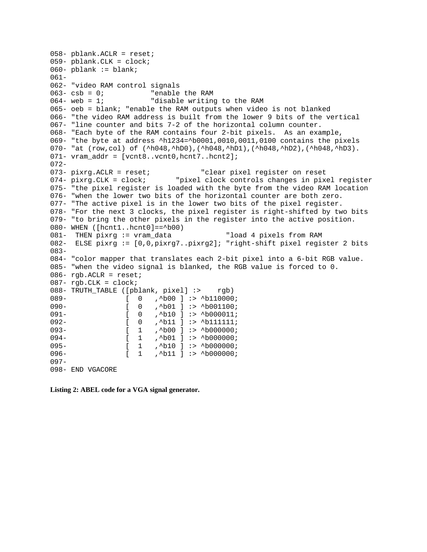```
058- pblank.ACLR = reset;
059- pblank.CLK = clock;
060- pblank := blank;
061-
062- "video RAM control signals
063 - \cosh = 0; "enable the RAM
064- web = 1; Tdisable writing to the RAM
065- oeb = blank; "enable the RAM outputs when video is not blanked
066- "the video RAM address is built from the lower 9 bits of the vertical
067- "line counter and bits 7-2 of the horizontal column counter.
068- "Each byte of the RAM contains four 2-bit pixels. As an example,
069- "the byte at address ^h1234=^b0001,0010,0011,0100 contains the pixels
070- "at (row,col) of (^h048,^hD0),(^h048,^hD1),(^h048,^hD2),(^h048,^hD3).
071- vram_addr = [vcnt8..vcnt0,hcnt7..hcnt2];
072-
073- pixrg.ACLR = reset; "clear pixel register on reset
074- pixrg.CLK = clock; "pixel clock controls changes in pixel register
075- "the pixel register is loaded with the byte from the video RAM location
076- "when the lower two bits of the horizontal counter are both zero.
077- "The active pixel is in the lower two bits of the pixel register.
078- "For the next 3 clocks, the pixel register is right-shifted by two bits
079- "to bring the other pixels in the register into the active position.
080- WHEN ([hcnt1..hcnt0]==^b00)
081- THEN pixrg := vram_data "load 4 pixels from RAM
082- ELSE pixrg := [0,0,pixrg7..pixrg2]; "right-shift pixel register 2 bits
083-
084- "color mapper that translates each 2-bit pixel into a 6-bit RGB value.
085- "when the video signal is blanked, the RGB value is forced to 0.
086 - rgb. ACLR = reset;
087 - rgb.CLK = clock;
088- TRUTH_TABLE ([pblank, pixel] :> rgb)
089- [ 0 , ^b00 ] :> ^b110000;<br>090- [ 0 , ^b01 ] :> ^b01100;
                [ 0 , ^*b01 ] :> ^*b001100;091- [ 0 , ^b10 ] :> ^b000011;
092- [ 0 , ^b11 ] :> ^b111111;
093- [ 1 ,^b00 ] :> ^b000000;
094- [ 1 , ^b01 ] :> ^b000000;
095- [ 1 , ^b10 ] :> ^b000000;
096- [ 1 , ^b11 ] :> ^b000000;
097-
098- END VGACORE
```
**Listing 2: ABEL code for a VGA signal generator.**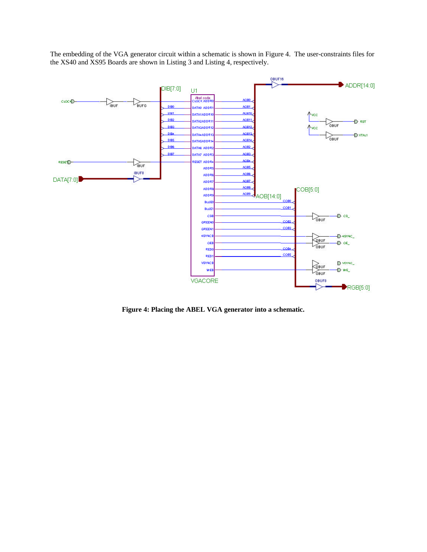The embedding of the VGA generator circuit within a schematic is shown in Figure 4. The user-constraints files for the XS40 and XS95 Boards are shown in Listing 3 and Listing 4, respectively.



**Figure 4: Placing the ABEL VGA generator into a schematic.**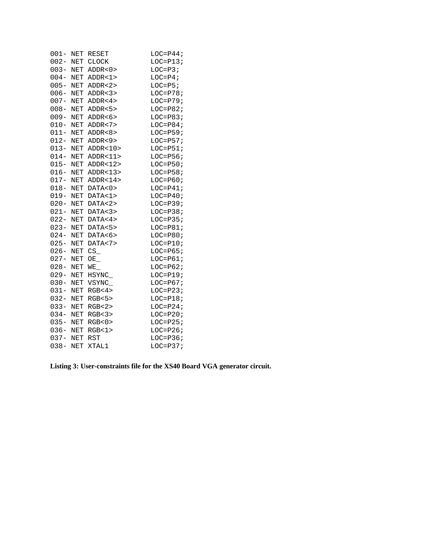| $001 -$     | NET        | RESET             | $LOC = P44;$   |
|-------------|------------|-------------------|----------------|
|             |            | 002- NET CLOCK    | $LOC=PI3;$     |
| $003 -$     |            | NET ADDR<0>       | $LOC=P3;$      |
| $004 - NET$ |            | ADDR < 1>         | $LOC = P4;$    |
| 005- NET    |            | ADDR < 2>         | $LOC=PS;$      |
| 006- NET    |            | ADDR < 3 >        | $LOC=P78;$     |
| 007- NET    |            | ADDR < 4>         | $LOC=P79;$     |
| $008 -$     | NET        | ADDR < 5          | $LOC = P82;$   |
| $009 -$     | NET        | ADDR < 6 >        | $LOC = P83;$   |
| $010 -$     | NET        | ADDR < 7          | $LOC = P84;$   |
| $011 -$     | NET        | ADDR < 8 >        | $LOC = P59;$   |
| 012- NET    |            | ADDR < 9          | $LOC = P57;$   |
| $013 -$     | NET        | ADDR < 10         | $LOC = P51;$   |
| $014 -$     | NET        | ADDR < 11         | $LOC = P56;$   |
| $015 -$     | NET        | ADDR < 12         | $LOC = P50;$   |
| $016 -$     | NET        | ADDR < 13         | $LOC = P58;$   |
| $017 -$     | NET        | ADDR < 14         | $LOC=P60;$     |
| $018 -$     | NET        | DATA < 0>         | $LOC=$ $P41$ ; |
| $019 -$     | NET        | DATA < 1>         | $LOC=P40;$     |
| $020 -$     | NET        | DATA < 2>         | $LOC=P39;$     |
| $021 -$     | NET        | DATA < 3>         | $LOC = P38;$   |
| $022 -$     | <b>NET</b> | DATA <sub>4</sub> | $LOC = P35;$   |
| $023 -$     | NET        | DATA<5>           | $LOC = P81;$   |
| $024 -$     | NET        | DATA<6>           | $LOC = P80;$   |
| $025 -$     | NET        | DATA < 7>         | $LOC=P10;$     |
| $026 -$     | NET        | $CS_$             | $LOC = P65;$   |
| $027 -$     | NET        | OE                | $LOC=P61;$     |
| $028 -$     | NET        | $WE_{-}$          | $LOC=P62;$     |
| $029 -$     | NET        | HSYNC_            | $LOC=P19;$     |
| $030 -$     | NET        | VSYNC_            | $LOC=P67;$     |
| $031 -$     | NET        | RGB <sub>4</sub>  | $LOC = P23;$   |
| $032 -$     | NET        | RGB<5>            | $LOC=PI8;$     |
| $033 -$     | NET        | RGB<2>            | $LOC = P24;$   |
| $034 -$     | NET        | RGB<3>            | $LOC = P20;$   |
| 035- NET    |            | RGB<0>            | $LOC = P25;$   |
| 036- NET    |            | RGB<1>            | $LOC = P26;$   |
| 037- NET    |            | <b>RST</b>        | $LOC = P36;$   |
| $038 -$     | <b>NET</b> | XTAL1             | $LOC=P37;$     |

**Listing 3: User-constraints file for the XS40 Board VGA generator circuit.**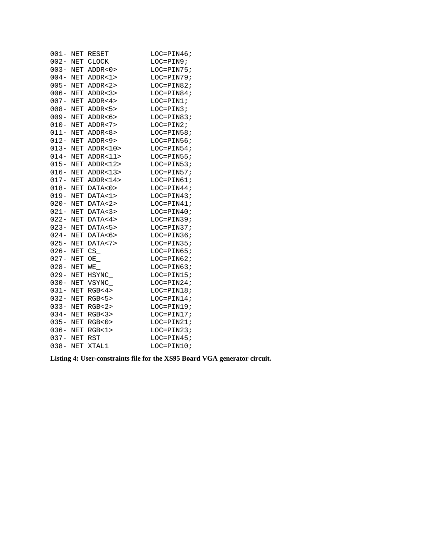| $001 -$ | NET                  | RESET             | LOC=PIN46;   |
|---------|----------------------|-------------------|--------------|
| $002 -$ |                      | NET CLOCK         | LOC=PIN9;    |
| $003 -$ | NET                  | ADDR < 0          | $LOC=PIN75;$ |
| $004 -$ | NET                  | ADDR < 1>         | LOC=PIN79;   |
| $005 -$ | NET                  | ADDR < 2>         | $LOC=PIN82;$ |
| $006 -$ | NET                  | ADDR < 3>         | LOC=PIN84;   |
| $007 -$ | NET                  | ADDR < 4>         | LOC=PIN1;    |
| $008 -$ | NET                  | ADDR < 5          | $LOC=PIN3;$  |
| $009 -$ | NET                  | ADDR < 6          | $LOC=PIN83;$ |
| $010 -$ | NET                  | ADDR < 7          | $LOC=PIN2;$  |
| $011 -$ | NET                  | ADDR < 8 >        | $LOC=PIN58;$ |
| $012 -$ | $\operatorname{NET}$ | ADDR < 9          | $LOC=PIN56;$ |
| $013 -$ | NET                  | ADDR < 10         | $LOC=PIN54;$ |
| $014 -$ | NET                  | ADDR < 11         | $LOC=PIN55;$ |
| $015 -$ | NET                  | ADDR < 12         | $LOC=PIN53;$ |
| $016 -$ | NET                  | ADDR < 13         | $LOC=PIN57;$ |
| $017 -$ | NET                  | ADDR < 14         | $LOC=PIN61;$ |
| $018 -$ | NET                  | DATA < 0>         | LOC=PIN44;   |
| $019 -$ | NET                  | DATA < 1>         | $LOC=PIN43;$ |
| $020 -$ | <b>NET</b>           | DATA < 2>         | $LOC=PIN41;$ |
| $021 -$ | NET                  | DATA < 3>         | $LOC=PIN40;$ |
| $022 -$ | NET                  | DATA <sub>4</sub> | LOC=PIN39;   |
| $023 -$ | NET                  | DATA<5>           | LOC=PIN37;   |
| $024 -$ | NET                  | DATA<6>           | $LOC=PIN36;$ |
| $025 -$ | NET                  | DATA < 7>         | $LOC=PIN35;$ |
| $026 -$ | NET                  | $CS_$             | LOC=PIN65;   |
| $027 -$ | <b>NET</b>           | OE                | $LOC=PIN62;$ |
| $028 -$ | NET                  | $WE_{-}$          | LOC=PIN63;   |
| $029 -$ | NET                  | HSYNC_            | LOC=PIN15;   |
| $030 -$ | $\operatorname{NET}$ | VSYNC_            | $LOC=PIN24;$ |
| $031 -$ | NET                  | RGB<4>            | $LOC=PIN18;$ |
| $032 -$ | NET                  | RGB<5>            | $LOC=PIN14;$ |
| $033 -$ | NET                  | RGB<2>            | $LOC=PIN19;$ |
| $034 -$ | NET                  | RGB<3>            | $LOC=PIN17;$ |
| $035 -$ | NET                  | RGB<0>            | $LOC=PIN21;$ |
| $036 -$ | NET                  | RGB<1>            | $LOC=PIN23;$ |
| $037 -$ | NET                  | <b>RST</b>        | $LOC=PIN45;$ |
| $038 -$ | <b>NET</b>           | XTAL1             | LOC=PIN10;   |
|         |                      |                   |              |

**Listing 4: User-constraints file for the XS95 Board VGA generator circuit.**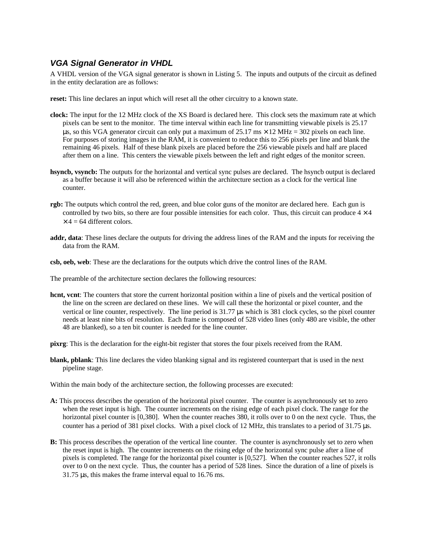#### *VGA Signal Generator in VHDL*

A VHDL version of the VGA signal generator is shown in Listing 5. The inputs and outputs of the circuit as defined in the entity declaration are as follows:

**reset:** This line declares an input which will reset all the other circuitry to a known state.

- **clock:** The input for the 12 MHz clock of the XS Board is declared here. This clock sets the maximum rate at which pixels can be sent to the monitor. The time interval within each line for transmitting viewable pixels is 25.17 us, so this VGA generator circuit can only put a maximum of  $25.17 \text{ ms} \times 12 \text{ MHz} = 302 \text{ pixels on each line.}$ For purposes of storing images in the RAM, it is convenient to reduce this to 256 pixels per line and blank the remaining 46 pixels. Half of these blank pixels are placed before the 256 viewable pixels and half are placed after them on a line. This centers the viewable pixels between the left and right edges of the monitor screen.
- **hsyncb, vsyncb:** The outputs for the horizontal and vertical sync pulses are declared. The hsyncb output is declared as a buffer because it will also be referenced within the architecture section as a clock for the vertical line counter.
- **rgb:** The outputs which control the red, green, and blue color guns of the monitor are declared here. Each gun is controlled by two bits, so there are four possible intensities for each color. Thus, this circuit can produce  $4 \times 4$  $\times$  4 = 64 different colors.
- **addr, data**: These lines declare the outputs for driving the address lines of the RAM and the inputs for receiving the data from the RAM.
- **csb, oeb, web**: These are the declarations for the outputs which drive the control lines of the RAM.

The preamble of the architecture section declares the following resources:

- **hcnt, vcnt**: The counters that store the current horizontal position within a line of pixels and the vertical position of the line on the screen are declared on these lines. We will call these the horizontal or pixel counter, and the vertical or line counter, respectively. The line period is 31.77 μs which is 381 clock cycles, so the pixel counter needs at least nine bits of resolution. Each frame is composed of 528 video lines (only 480 are visible, the other 48 are blanked), so a ten bit counter is needed for the line counter.
- **pixrg**: This is the declaration for the eight-bit register that stores the four pixels received from the RAM.
- **blank, pblank**: This line declares the video blanking signal and its registered counterpart that is used in the next pipeline stage.

Within the main body of the architecture section, the following processes are executed:

- **A:** This process describes the operation of the horizontal pixel counter. The counter is asynchronously set to zero when the reset input is high. The counter increments on the rising edge of each pixel clock. The range for the horizontal pixel counter is [0,380]. When the counter reaches 380, it rolls over to 0 on the next cycle. Thus, the counter has a period of 381 pixel clocks. With a pixel clock of 12 MHz, this translates to a period of 31.75 μs.
- **B:** This process describes the operation of the vertical line counter. The counter is asynchronously set to zero when the reset input is high. The counter increments on the rising edge of the horizontal sync pulse after a line of pixels is completed. The range for the horizontal pixel counter is [0,527]. When the counter reaches 527, it rolls over to 0 on the next cycle. Thus, the counter has a period of 528 lines. Since the duration of a line of pixels is 31.75 μs, this makes the frame interval equal to 16.76 ms.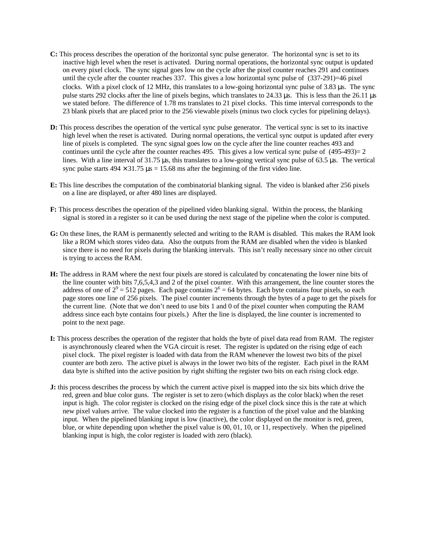- **C:** This process describes the operation of the horizontal sync pulse generator. The horizontal sync is set to its inactive high level when the reset is activated. During normal operations, the horizontal sync output is updated on every pixel clock. The sync signal goes low on the cycle after the pixel counter reaches 291 and continues until the cycle after the counter reaches 337. This gives a low horizontal sync pulse of (337-291)=46 pixel clocks. With a pixel clock of 12 MHz, this translates to a low-going horizontal sync pulse of 3.83 μs. The sync pulse starts 292 clocks after the line of pixels begins, which translates to 24.33 μs. This is less than the 26.11 μs we stated before. The difference of 1.78 ms translates to 21 pixel clocks. This time interval corresponds to the 23 blank pixels that are placed prior to the 256 viewable pixels (minus two clock cycles for pipelining delays).
- **D:** This process describes the operation of the vertical sync pulse generator. The vertical sync is set to its inactive high level when the reset is activated. During normal operations, the vertical sync output is updated after every line of pixels is completed. The sync signal goes low on the cycle after the line counter reaches 493 and continues until the cycle after the counter reaches 495. This gives a low vertical sync pulse of (495-493)= 2 lines. With a line interval of 31.75 μs, this translates to a low-going vertical sync pulse of 63.5 μs. The vertical sync pulse starts  $494 \times 31.75 \,\mu s = 15.68 \,\text{ms}$  after the beginning of the first video line.
- **E:** This line describes the computation of the combinatorial blanking signal. The video is blanked after 256 pixels on a line are displayed, or after 480 lines are displayed.
- **F:** This process describes the operation of the pipelined video blanking signal. Within the process, the blanking signal is stored in a register so it can be used during the next stage of the pipeline when the color is computed.
- **G:** On these lines, the RAM is permanently selected and writing to the RAM is disabled. This makes the RAM look like a ROM which stores video data. Also the outputs from the RAM are disabled when the video is blanked since there is no need for pixels during the blanking intervals. This isn't really necessary since no other circuit is trying to access the RAM.
- **H:** The address in RAM where the next four pixels are stored is calculated by concatenating the lower nine bits of the line counter with bits 7,6,5,4,3 and 2 of the pixel counter. With this arrangement, the line counter stores the address of one of  $2^9 = 512$  pages. Each page contains  $2^6 = 64$  bytes. Each byte contains four pixels, so each page stores one line of 256 pixels. The pixel counter increments through the bytes of a page to get the pixels for the current line. (Note that we don't need to use bits 1 and 0 of the pixel counter when computing the RAM address since each byte contains four pixels.) After the line is displayed, the line counter is incremented to point to the next page.
- **I:** This process describes the operation of the register that holds the byte of pixel data read from RAM. The register is asynchronously cleared when the VGA circuit is reset. The register is updated on the rising edge of each pixel clock. The pixel register is loaded with data from the RAM whenever the lowest two bits of the pixel counter are both zero. The active pixel is always in the lower two bits of the register. Each pixel in the RAM data byte is shifted into the active position by right shifting the register two bits on each rising clock edge.
- **J:** this process describes the process by which the current active pixel is mapped into the six bits which drive the red, green and blue color guns. The register is set to zero (which displays as the color black) when the reset input is high. The color register is clocked on the rising edge of the pixel clock since this is the rate at which new pixel values arrive. The value clocked into the register is a function of the pixel value and the blanking input. When the pipelined blanking input is low (inactive), the color displayed on the monitor is red, green, blue, or white depending upon whether the pixel value is 00, 01, 10, or 11, respectively. When the pipelined blanking input is high, the color register is loaded with zero (black).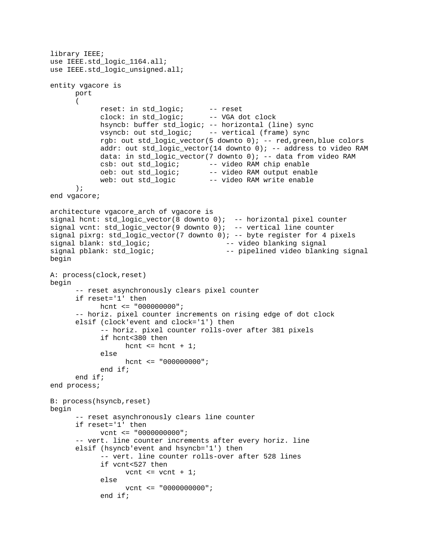```
library IEEE;
use IEEE.std_logic_1164.all;
use IEEE.std_logic_unsigned.all;
entity vgacore is
     port
      (
            reset: in std_logic; -- reset
            clock: in std_logic; -- VGA dot clock
           hsyncb: buffer std_logic; -- horizontal (line) sync
           vsyncb: out std_logic; -- vertical (frame) sync
           rgb: out std_logic_vector(5 downto 0); -- red,green,blue colors
           addr: out std_logic_vector(14 downto 0); -- address to video RAM
           data: in std_logic_vector(7 downto 0); -- data from video RAM
            csb: out std_logic; -- video RAM chip enable
            oeb: out std_logic; -- video RAM output enable
            web: out std_logic -- video RAM write enable
      );
end vgacore;
architecture vgacore_arch of vgacore is
signal hcnt: std_logic_vector(8 downto 0); -- horizontal pixel counter
signal vcnt: std_logic_vector(9 downto 0); -- vertical line counter
signal pixrg: std_logic_vector(7 downto 0); -- byte register for 4 pixels
signal blank: std_logic; -- video blanking signal
signal pblank: std_logic; -- pipelined video blanking signal
begin
A: process(clock,reset)
begin
      -- reset asynchronously clears pixel counter
     if reset='1' then
           hcnt <= "000000000";
      -- horiz. pixel counter increments on rising edge of dot clock
     elsif (clock'event and clock='1') then
            -- horiz. pixel counter rolls-over after 381 pixels
           if hcnt<380 then
                 hcnt \leq hcnt + 1;
           else
                 hcnt \leq "000000000";
           end if;
     end if;
end process;
B: process(hsyncb,reset)
begin
      -- reset asynchronously clears line counter
     if reset='1' then
           vcnt <= "0000000000";
      -- vert. line counter increments after every horiz. line
     elsif (hsyncb'event and hsyncb='1') then
           -- vert. line counter rolls-over after 528 lines
           if vcnt<527 then
                 vcnt \le vcnt + 1;
           else
                 vcnt <= "0000000000";
           end if;
```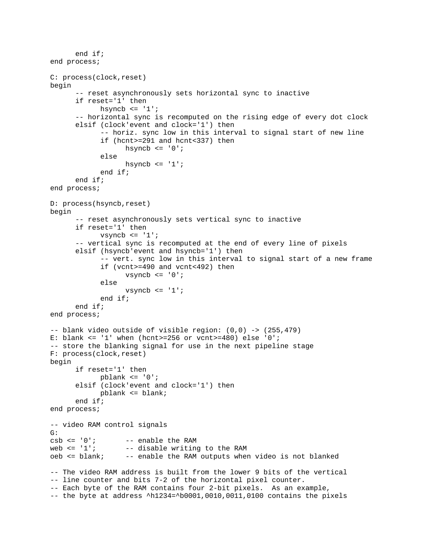```
end if;
end process;
C: process(clock,reset)
begin
      -- reset asynchronously sets horizontal sync to inactive
      if reset='1' then
            hsyncb \leq '1';
      -- horizontal sync is recomputed on the rising edge of every dot clock
      elsif (clock'event and clock='1') then
            -- horiz. sync low in this interval to signal start of new line
            if (hcnt>=291 and hcnt<337) then
                  hsyncb \leq '0';
            else
                  hsyncb\leftarrow'1';
            end if;
      end if;
end process;
D: process(hsyncb,reset)
begin
      -- reset asynchronously sets vertical sync to inactive
      if reset='1' then
            vsyncb \leq '1';
      -- vertical sync is recomputed at the end of every line of pixels
      elsif (hsyncb'event and hsyncb='1') then
            -- vert. sync low in this interval to signal start of a new frame
            if (vcnt>=490 and vcnt<492) then
                  vsyncb <= '0';
            else
                  vsyncb \leq '1';
            end if;
      end if;
end process;
-- blank video outside of visible region: (0,0) -> (255,479)
E: blank \le '1' when (hcnt>=256 or vcnt>=480) else '0';
-- store the blanking signal for use in the next pipeline stage
F: process(clock,reset)
begin
      if reset='1' then
            pblank <= '0';
      elsif (clock'event and clock='1') then
            pblank <= blank;
      end if;
end process;
-- video RAM control signals
G:<br>csb <= '0';
csb \leq 0'i -- enable the RAM web \leq 1'i -- disable writing
                  -- disable writing to the RAM
oeb <= blank; -- enable the RAM outputs when video is not blanked
-- The video RAM address is built from the lower 9 bits of the vertical
-- line counter and bits 7-2 of the horizontal pixel counter.
-- Each byte of the RAM contains four 2-bit pixels. As an example,
-- the byte at address ^h1234=^b0001,0010,0011,0100 contains the pixels
```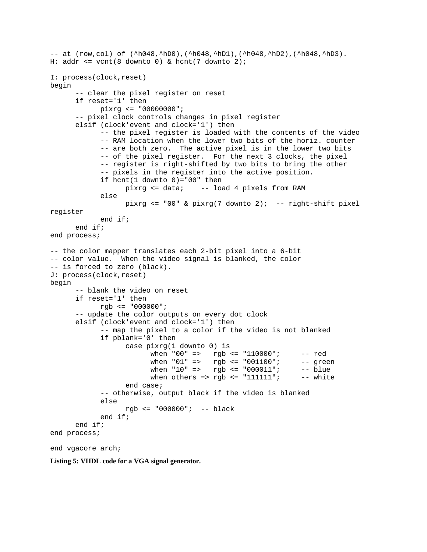```
-- at (row, col) of (\hbox{\tt 'h048,~hD0},(\hbox{\tt 'h048,~hD1},(\hbox{\tt 'h048,~hD2},(\hbox{\tt 'h048,~hD3}).H: addr <= vcnt(8 downto 0) & hcnt(7 downto 2);
I: process(clock,reset)
begin
      -- clear the pixel register on reset
      if reset='1' then
            pixrg <= "00000000";
      -- pixel clock controls changes in pixel register
      elsif (clock'event and clock='1') then
            -- the pixel register is loaded with the contents of the video
            -- RAM location when the lower two bits of the horiz. counter
            -- are both zero. The active pixel is in the lower two bits
            -- of the pixel register. For the next 3 clocks, the pixel
            -- register is right-shifted by two bits to bring the other
            -- pixels in the register into the active position.
            if hcnt(1 downto 0) = "00" then
                  pixrg <= data; -- load 4 pixels from RAM
            else
                  pixrg \le "00" & pixrg(7 downto 2); -- right-shift pixel
register
            end if;
      end if;
end process;
-- the color mapper translates each 2-bit pixel into a 6-bit
-- color value. When the video signal is blanked, the color
-- is forced to zero (black).
J: process(clock,reset)
begin
      -- blank the video on reset
      if reset='1' then
            rgb <= "000000";
      -- update the color outputs on every dot clock
      elsif (clock'event and clock='1') then
            -- map the pixel to a color if the video is not blanked
            if pblank='0' then
                  case pixrg(1 downto 0) is
                        when "00" => rgb <= "110000"; -- red
                        when "01" => rqb \le rq001100"; -- qreen
                        when "10" => rqb \le rq000011"; -- blue
                        when others => rqb \leq 1111111"; -- white
                  end case;
            -- otherwise, output black if the video is blanked
            else
                  rgb <= "000000"; -- black
            end if;
      end if;
end process;
end vgacore_arch;
```
**Listing 5: VHDL code for a VGA signal generator.**